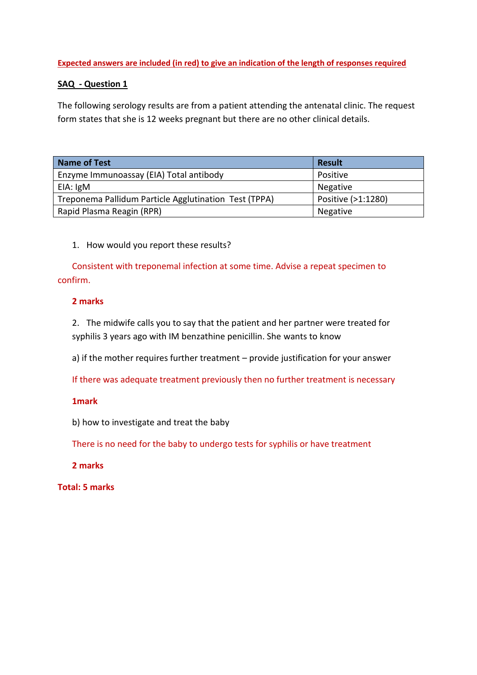## **Expected answers are included (in red) to give an indication of the length of responses required**

# **SAQ - Question 1**

The following serology results are from a patient attending the antenatal clinic. The request form states that she is 12 weeks pregnant but there are no other clinical details.

| <b>Name of Test</b>                                   | <b>Result</b>      |
|-------------------------------------------------------|--------------------|
| Enzyme Immunoassay (EIA) Total antibody               | Positive           |
| EIA: IgM                                              | Negative           |
| Treponema Pallidum Particle Agglutination Test (TPPA) | Positive (>1:1280) |
| Rapid Plasma Reagin (RPR)                             | Negative           |

# 1. How would you report these results?

Consistent with treponemal infection at some time. Advise a repeat specimen to confirm.

# **2 marks**

2. The midwife calls you to say that the patient and her partner were treated for syphilis 3 years ago with IM benzathine penicillin. She wants to know

a) if the mother requires further treatment – provide justification for your answer

If there was adequate treatment previously then no further treatment is necessary

## **1mark**

b) how to investigate and treat the baby

There is no need for the baby to undergo tests for syphilis or have treatment

**2 marks**

**Total: 5 marks**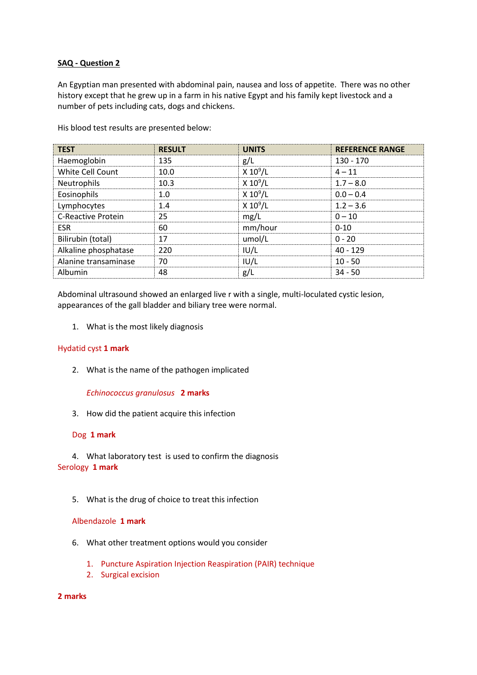### **SAQ - Question 2**

An Egyptian man presented with abdominal pain, nausea and loss of appetite. There was no other history except that he grew up in a farm in his native Egypt and his family kept livestock and a number of pets including cats, dogs and chickens.

| <b>TEST</b>               | <b>RESULT</b> | <b>UNITS</b> | <b>REFERENCE RANGE</b> |
|---------------------------|---------------|--------------|------------------------|
| Haemoglobin               | 135           | g/L          | $130 - 170$            |
| White Cell Count          | 10.0          | $X 10^9/L$   | $4 - 11$               |
| Neutrophils               | 10.3          | $X 10^9/L$   | $1.7 - 8.0$            |
| Eosinophils               | 1.0           | $X 10^9/L$   | $0.0 - 0.4$            |
| Lymphocytes               | 1.4           | $X 10^9/L$   | $1.2 - 3.6$            |
| <b>C-Reactive Protein</b> | 25            | mg/L         | $0 - 10$               |
| <b>ESR</b>                | 60            | mm/hour      | $0 - 10$               |
| Bilirubin (total)         | 17            | umol/L       | $0 - 20$               |
| Alkaline phosphatase      | 220           | IUI/L        | $40 - 129$             |
| Alanine transaminase      | 70            | IUI/L        | $10 - 50$              |
| Albumin                   | 48            | g/L          | $34 - 50$              |

His blood test results are presented below:

Abdominal ultrasound showed an enlarged live r with a single, multi-loculated cystic lesion, appearances of the gall bladder and biliary tree were normal.

1. What is the most likely diagnosis

### Hydatid cyst **1 mark**

2. What is the name of the pathogen implicated

*Echinococcus granulosus* **2 marks**

3. How did the patient acquire this infection

### Dog **1 mark**

4. What laboratory test is used to confirm the diagnosis Serology **1 mark**

5. What is the drug of choice to treat this infection

#### Albendazole **1 mark**

- 6. What other treatment options would you consider
	- 1. Puncture Aspiration Injection Reaspiration (PAIR) technique
	- 2. Surgical excision

#### **2 marks**